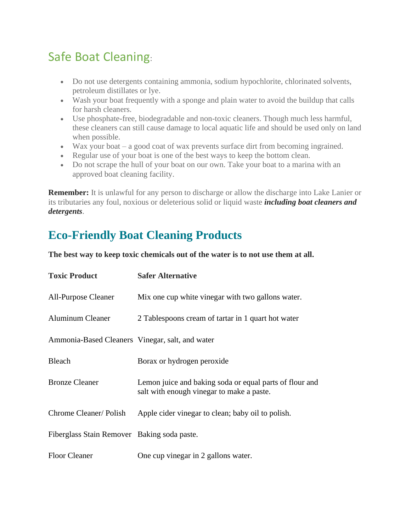## Safe Boat Cleaning:

- Do not use detergents containing ammonia, sodium hypochlorite, chlorinated solvents, petroleum distillates or lye.
- Wash your boat frequently with a sponge and plain water to avoid the buildup that calls for harsh cleaners.
- Use phosphate-free, biodegradable and non-toxic cleaners. Though much less harmful, these cleaners can still cause damage to local aquatic life and should be used only on land when possible.
- Wax your boat a good coat of wax prevents surface dirt from becoming ingrained.
- Regular use of your boat is one of the best ways to keep the bottom clean.
- Do not scrape the hull of your boat on our own. Take your boat to a marina with an approved boat cleaning facility.

**Remember:** It is unlawful for any person to discharge or allow the discharge into Lake Lanier or its tributaries any foul, noxious or deleterious solid or liquid waste *including boat cleaners and detergents*.

## **Eco-Friendly Boat Cleaning Products**

**The best way to keep toxic chemicals out of the water is to not use them at all.**

| <b>Toxic Product</b>                            | <b>Safer Alternative</b>                                                                             |
|-------------------------------------------------|------------------------------------------------------------------------------------------------------|
| <b>All-Purpose Cleaner</b>                      | Mix one cup white vinegar with two gallons water.                                                    |
| <b>Aluminum Cleaner</b>                         | 2 Tablespoons cream of tartar in 1 quart hot water                                                   |
| Ammonia-Based Cleaners Vinegar, salt, and water |                                                                                                      |
| <b>Bleach</b>                                   | Borax or hydrogen peroxide                                                                           |
| <b>Bronze Cleaner</b>                           | Lemon juice and baking soda or equal parts of flour and<br>salt with enough vinegar to make a paste. |
| Chrome Cleaner/Polish                           | Apple cider vinegar to clean; baby oil to polish.                                                    |
| Fiberglass Stain Remover Baking soda paste.     |                                                                                                      |
| <b>Floor Cleaner</b>                            | One cup vinegar in 2 gallons water.                                                                  |